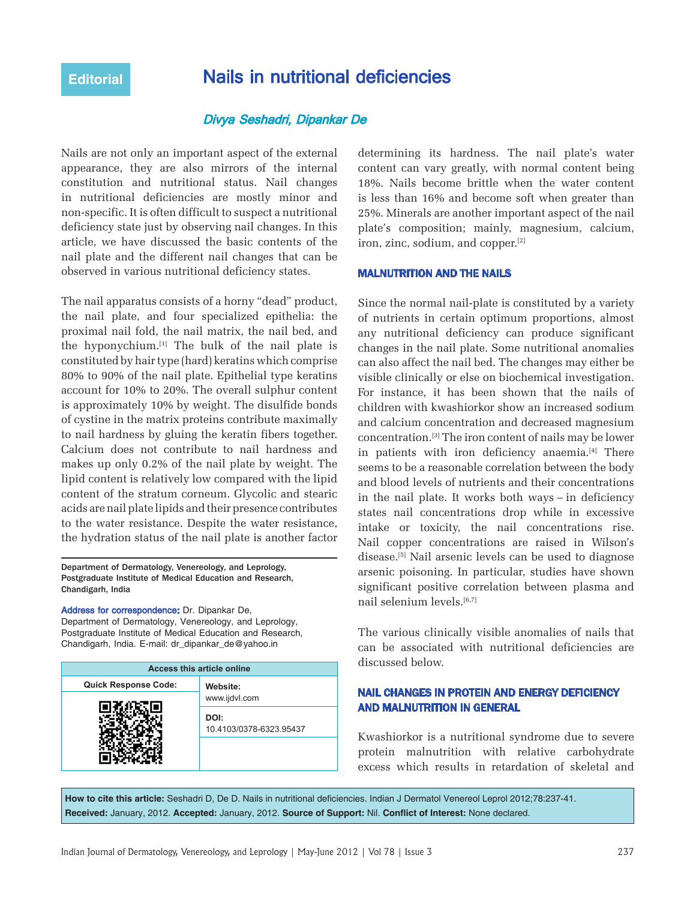# **Editorial Nails in nutritional deficiencies**

# Divya Seshadri, Dipankar De

Nails are not only an important aspect of the external appearance, they are also mirrors of the internal constitution and nutritional status. Nail changes in nutritional deficiencies are mostly minor and non‑specific. It is often difficult to suspect a nutritional deficiency state just by observing nail changes. In this article, we have discussed the basic contents of the nail plate and the different nail changes that can be observed in various nutritional deficiency states.

The nail apparatus consists of a horny "dead" product, the nail plate, and four specialized epithelia: the proximal nail fold, the nail matrix, the nail bed, and the hyponychium.[1] The bulk of the nail plate is constituted by hair type (hard) keratins which comprise 80% to 90% of the nail plate. Epithelial type keratins account for 10% to 20%. The overall sulphur content is approximately 10% by weight. The disulfide bonds of cystine in the matrix proteins contribute maximally to nail hardness by gluing the keratin fibers together. Calcium does not contribute to nail hardness and makes up only 0.2% of the nail plate by weight. The lipid content is relatively low compared with the lipid content of the stratum corneum. Glycolic and stearic acids are nail plate lipids and their presence contributes to the water resistance. Despite the water resistance, the hydration status of the nail plate is another factor

Department of Dermatology, Venereology, and Leprology, Postgraduate Institute of Medical Education and Research, Chandigarh, India

Address for correspondence: Dr. Dipankar De, Department of Dermatology, Venereology, and Leprology, Postgraduate Institute of Medical Education and Research, Chandigarh, India. E‑mail: dr\_dipankar\_de@yahoo.in

| <b>Access this article online</b> |                                 |
|-----------------------------------|---------------------------------|
| <b>Quick Response Code:</b>       | Website:                        |
|                                   | www.ijdvl.com                   |
|                                   | DOI:<br>10.4103/0378-6323.95437 |
|                                   |                                 |

determining its hardness. The nail plate's water content can vary greatly, with normal content being 18%. Nails become brittle when the water content is less than 16% and become soft when greater than 25%. Minerals are another important aspect of the nail plate's composition; mainly, magnesium, calcium, iron, zinc, sodium, and copper.[2]

#### MALNUTRITION AND THE NAILS

Since the normal nail-plate is constituted by a variety of nutrients in certain optimum proportions, almost any nutritional deficiency can produce significant changes in the nail plate. Some nutritional anomalies can also affect the nail bed. The changes may either be visible clinically or else on biochemical investigation. For instance, it has been shown that the nails of children with kwashiorkor show an increased sodium and calcium concentration and decreased magnesium concentration.[3] The iron content of nails may be lower in patients with iron deficiency anaemia.<sup>[4]</sup> There seems to be a reasonable correlation between the body and blood levels of nutrients and their concentrations in the nail plate. It works both ways – in deficiency states nail concentrations drop while in excessive intake or toxicity, the nail concentrations rise. Nail copper concentrations are raised in Wilson's disease.[5] Nail arsenic levels can be used to diagnose arsenic poisoning. In particular, studies have shown significant positive correlation between plasma and nail selenium levels.[6,7]

The various clinically visible anomalies of nails that can be associated with nutritional deficiencies are discussed below.

# NAIL CHANGES IN PROTEIN AND ENERGY DEFICIENCY AND MALNUTRITION IN GENERAL

Kwashiorkor is a nutritional syndrome due to severe protein malnutrition with relative carbohydrate excess which results in retardation of skeletal and

**How to cite this article:** Seshadri D, De D. Nails in nutritional deficiencies. Indian J Dermatol Venereol Leprol 2012;78:237-41. **Received:** January, 2012. **Accepted:** January, 2012. **Source of Support:** Nil. **Conflict of Interest:** None declared.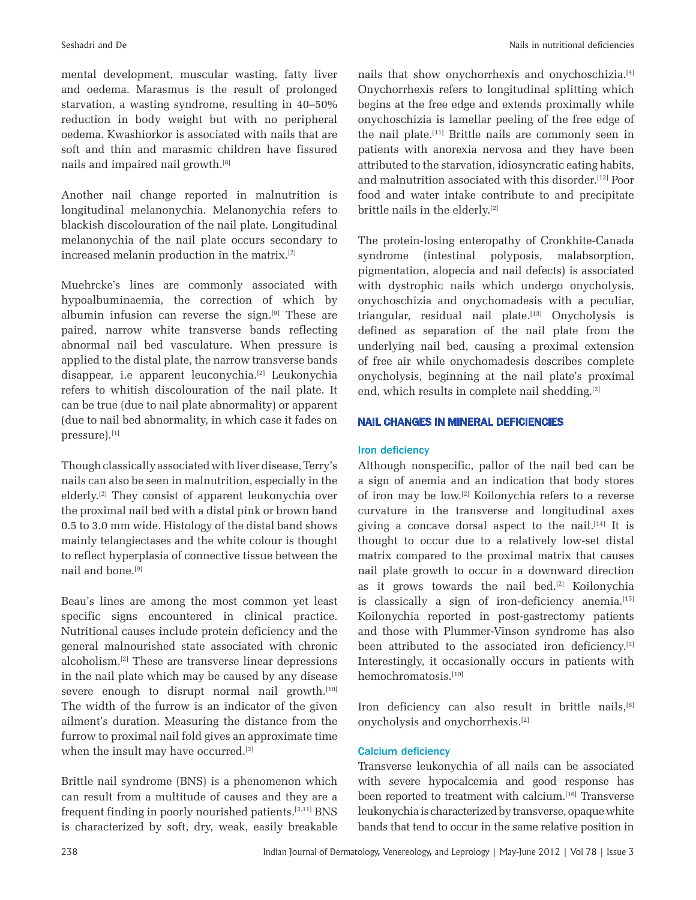mental development, muscular wasting, fatty liver and oedema. Marasmus is the result of prolonged starvation, a wasting syndrome, resulting in 40–50% reduction in body weight but with no peripheral oedema. Kwashiorkor is associated with nails that are soft and thin and marasmic children have fissured nails and impaired nail growth.[8]

Another nail change reported in malnutrition is longitudinal melanonychia. Melanonychia refers to blackish discolouration of the nail plate. Longitudinal melanonychia of the nail plate occurs secondary to increased melanin production in the matrix.[2]

Muehrcke's lines are commonly associated with hypoalbuminaemia, the correction of which by albumin infusion can reverse the sign.[9] These are paired, narrow white transverse bands reflecting abnormal nail bed vasculature. When pressure is applied to the distal plate, the narrow transverse bands disappear, i.e apparent leuconychia.<sup>[2]</sup> Leukonychia refers to whitish discolouration of the nail plate. It can be true (due to nail plate abnormality) or apparent (due to nail bed abnormality, in which case it fades on pressure).[1]

Though classically associated with liver disease, Terry's nails can also be seen in malnutrition, especially in the elderly.[2] They consist of apparent leukonychia over the proximal nail bed with a distal pink or brown band 0.5 to 3.0 mm wide. Histology of the distal band shows mainly telangiectases and the white colour is thought to reflect hyperplasia of connective tissue between the nail and bone.[9]

Beau's lines are among the most common yet least specific signs encountered in clinical practice. Nutritional causes include protein deficiency and the general malnourished state associated with chronic alcoholism.[2] These are transverse linear depressions in the nail plate which may be caused by any disease severe enough to disrupt normal nail growth.<sup>[10]</sup> The width of the furrow is an indicator of the given ailment's duration. Measuring the distance from the furrow to proximal nail fold gives an approximate time when the insult may have occurred.<sup>[2]</sup>

Brittle nail syndrome (BNS) is a phenomenon which can result from a multitude of causes and they are a frequent finding in poorly nourished patients.[3,11] BNS is characterized by soft, dry, weak, easily breakable nails that show onychorrhexis and onychoschizia.[4] Onychorrhexis refers to longitudinal splitting which begins at the free edge and extends proximally while onychoschizia is lamellar peeling of the free edge of the nail plate.<sup>[11]</sup> Brittle nails are commonly seen in patients with anorexia nervosa and they have been attributed to the starvation, idiosyncratic eating habits, and malnutrition associated with this disorder.[12] Poor food and water intake contribute to and precipitate brittle nails in the elderly.[2]

The protein-losing enteropathy of Cronkhite-Canada syndrome (intestinal polyposis, malabsorption, pigmentation, alopecia and nail defects) is associated with dystrophic nails which undergo onycholysis, onychoschizia and onychomadesis with a peculiar, triangular, residual nail plate.<sup>[13]</sup> Onycholysis is defined as separation of the nail plate from the underlying nail bed, causing a proximal extension of free air while onychomadesis describes complete onycholysis, beginning at the nail plate's proximal end, which results in complete nail shedding.<sup>[2]</sup>

# NAIL CHANGES IN MINERAL DEFICIENCIES

# Iron deficiency

Although nonspecific, pallor of the nail bed can be a sign of anemia and an indication that body stores of iron may be low.[2] Koilonychia refers to a reverse curvature in the transverse and longitudinal axes giving a concave dorsal aspect to the nail.<sup>[14]</sup> It is thought to occur due to a relatively low‑set distal matrix compared to the proximal matrix that causes nail plate growth to occur in a downward direction as it grows towards the nail bed.[2] Koilonychia is classically a sign of iron-deficiency anemia.<sup>[15]</sup> Koilonychia reported in post-gastrectomy patients and those with Plummer‑Vinson syndrome has also been attributed to the associated iron deficiency.<sup>[2]</sup> Interestingly, it occasionally occurs in patients with hemochromatosis.[10]

Iron deficiency can also result in brittle nails, [8] onycholysis and onychorrhexis.[2]

### Calcium deficiency

Transverse leukonychia of all nails can be associated with severe hypocalcemia and good response has been reported to treatment with calcium.<sup>[16]</sup> Transverse leukonychia is characterized by transverse, opaque white bands that tend to occur in the same relative position in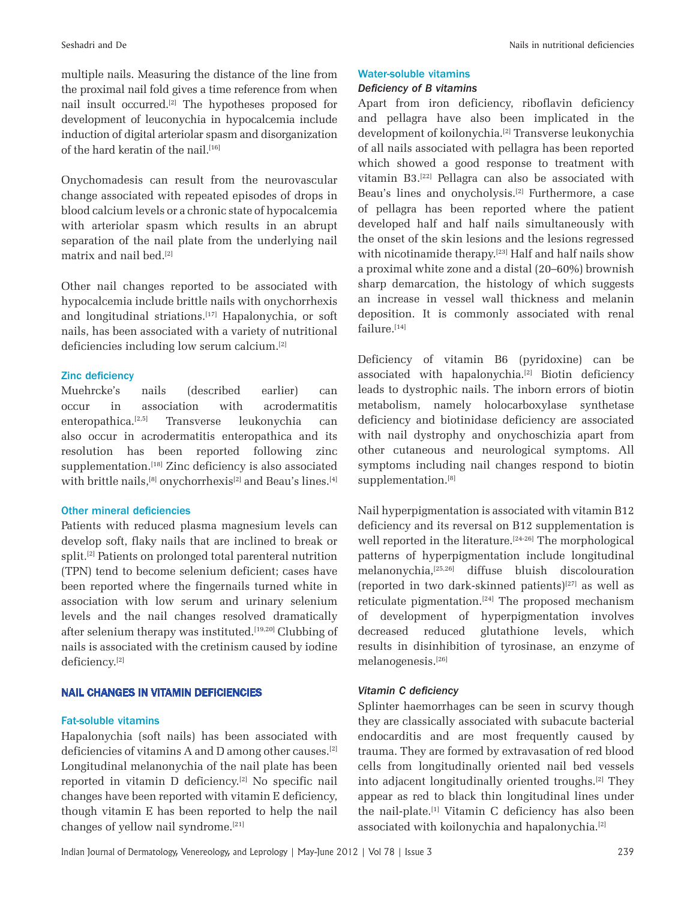multiple nails. Measuring the distance of the line from the proximal nail fold gives a time reference from when nail insult occurred.[2] The hypotheses proposed for development of leuconychia in hypocalcemia include induction of digital arteriolar spasm and disorganization of the hard keratin of the nail.<sup>[16]</sup>

Onychomadesis can result from the neurovascular change associated with repeated episodes of drops in blood calcium levels or a chronic state of hypocalcemia with arteriolar spasm which results in an abrupt separation of the nail plate from the underlying nail matrix and nail bed.[2]

Other nail changes reported to be associated with hypocalcemia include brittle nails with onychorrhexis and longitudinal striations.[17] Hapalonychia, or soft nails, has been associated with a variety of nutritional deficiencies including low serum calcium.[2]

#### Zinc deficiency

Muehrcke's nails (described earlier) can occur in association with acrodermatitis enteropathica.[2,5] Transverse leukonychia can also occur in acrodermatitis enteropathica and its resolution has been reported following zinc supplementation.<sup>[18]</sup> Zinc deficiency is also associated with brittle nails,<sup>[8]</sup> onychorrhexis<sup>[2]</sup> and Beau's lines.<sup>[4]</sup>

#### Other mineral deficiencies

Patients with reduced plasma magnesium levels can develop soft, flaky nails that are inclined to break or split.[2] Patients on prolonged total parenteral nutrition (TPN) tend to become selenium deficient; cases have been reported where the fingernails turned white in association with low serum and urinary selenium levels and the nail changes resolved dramatically after selenium therapy was instituted.[19,20] Clubbing of nails is associated with the cretinism caused by iodine deficiency.[2]

#### NAIL CHANGES IN VITAMIN DEFICIENCIES

#### Fat-soluble vitamins

Hapalonychia (soft nails) has been associated with deficiencies of vitamins A and D among other causes.[2] Longitudinal melanonychia of the nail plate has been reported in vitamin D deficiency.[2] No specific nail changes have been reported with vitamin E deficiency, though vitamin E has been reported to help the nail changes of yellow nail syndrome.[21]

#### Water-soluble vitamins

#### *Deficiency of B vitamins*

Apart from iron deficiency, riboflavin deficiency and pellagra have also been implicated in the development of koilonychia.[2] Transverse leukonychia of all nails associated with pellagra has been reported which showed a good response to treatment with vitamin B3.[22] Pellagra can also be associated with Beau's lines and onycholysis.[2] Furthermore, a case of pellagra has been reported where the patient developed half and half nails simultaneously with the onset of the skin lesions and the lesions regressed with nicotinamide therapy.<sup>[23]</sup> Half and half nails show a proximal white zone and a distal (20–60%) brownish sharp demarcation, the histology of which suggests an increase in vessel wall thickness and melanin deposition. It is commonly associated with renal failure.[14]

Deficiency of vitamin B6 (pyridoxine) can be associated with hapalonychia.[2] Biotin deficiency leads to dystrophic nails. The inborn errors of biotin metabolism, namely holocarboxylase synthetase deficiency and biotinidase deficiency are associated with nail dystrophy and onychoschizia apart from other cutaneous and neurological symptoms. All symptoms including nail changes respond to biotin supplementation.<sup>[8]</sup>

Nail hyperpigmentation is associated with vitamin B12 deficiency and its reversal on B12 supplementation is well reported in the literature.<sup>[24-26]</sup> The morphological patterns of hyperpigmentation include longitudinal melanonychia,[25,26] diffuse bluish discolouration (reported in two dark‑skinned patients)[27] as well as reticulate pigmentation.<sup>[24]</sup> The proposed mechanism of development of hyperpigmentation involves decreased reduced glutathione levels, which results in disinhibition of tyrosinase, an enzyme of melanogenesis.[26]

# *Vitamin C deficiency*

Splinter haemorrhages can be seen in scurvy though they are classically associated with subacute bacterial endocarditis and are most frequently caused by trauma. They are formed by extravasation of red blood cells from longitudinally oriented nail bed vessels into adjacent longitudinally oriented troughs.[2] They appear as red to black thin longitudinal lines under the nail‑plate.[1] Vitamin C deficiency has also been associated with koilonychia and hapalonychia.[2]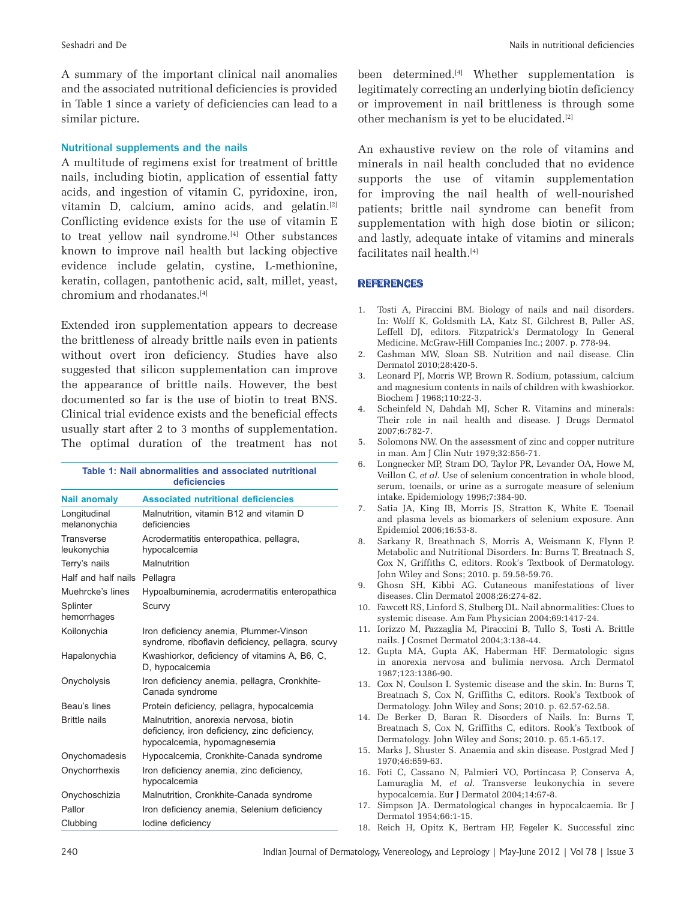A summary of the important clinical nail anomalies and the associated nutritional deficiencies is provided in Table 1 since a variety of deficiencies can lead to a similar picture.

#### Nutritional supplements and the nails

A multitude of regimens exist for treatment of brittle nails, including biotin, application of essential fatty acids, and ingestion of vitamin C, pyridoxine, iron, vitamin D, calcium, amino acids, and gelatin.[2] Conflicting evidence exists for the use of vitamin E to treat yellow nail syndrome.<sup>[4]</sup> Other substances known to improve nail health but lacking objective evidence include gelatin, cystine, L‑methionine, keratin, collagen, pantothenic acid, salt, millet, yeast, chromium and rhodanates.[4]

Extended iron supplementation appears to decrease the brittleness of already brittle nails even in patients without overt iron deficiency. Studies have also suggested that silicon supplementation can improve the appearance of brittle nails. However, the best documented so far is the use of biotin to treat BNS. Clinical trial evidence exists and the beneficial effects usually start after 2 to 3 months of supplementation. The optimal duration of the treatment has not

| Table 1: Nail abnormalities and associated nutritional<br>deficiencies |                                                                                                                         |
|------------------------------------------------------------------------|-------------------------------------------------------------------------------------------------------------------------|
| <b>Nail anomaly</b>                                                    | <b>Associated nutritional deficiencies</b>                                                                              |
| Longitudinal<br>melanonychia                                           | Malnutrition, vitamin B12 and vitamin D<br>deficiencies                                                                 |
| <b>Transverse</b><br>leukonychia                                       | Acrodermatitis enteropathica, pellagra,<br>hypocalcemia                                                                 |
| Terry's nails                                                          | Malnutrition                                                                                                            |
| Half and half nails                                                    | Pellagra                                                                                                                |
| Muehrcke's lines                                                       | Hypoalbuminemia, acrodermatitis enteropathica                                                                           |
| Splinter<br>hemorrhages                                                | Scurvy                                                                                                                  |
| Koilonychia                                                            | Iron deficiency anemia, Plummer-Vinson<br>syndrome, riboflavin deficiency, pellagra, scurvy                             |
| Hapalonychia                                                           | Kwashiorkor, deficiency of vitamins A, B6, C,<br>D, hypocalcemia                                                        |
| Onycholysis                                                            | Iron deficiency anemia, pellagra, Cronkhite-<br>Canada syndrome                                                         |
| Beau's lines                                                           | Protein deficiency, pellagra, hypocalcemia                                                                              |
| <b>Brittle nails</b>                                                   | Malnutrition, anorexia nervosa, biotin<br>deficiency, iron deficiency, zinc deficiency,<br>hypocalcemia, hypomagnesemia |
| Onychomadesis                                                          | Hypocalcemia, Cronkhite-Canada syndrome                                                                                 |
| Onychorrhexis                                                          | Iron deficiency anemia, zinc deficiency,<br>hypocalcemia                                                                |
| Onychoschizia                                                          | Malnutrition, Cronkhite-Canada syndrome                                                                                 |
| Pallor                                                                 | Iron deficiency anemia, Selenium deficiency                                                                             |
| Clubbing                                                               | lodine deficiency                                                                                                       |

been determined.[4] Whether supplementation is legitimately correcting an underlying biotin deficiency or improvement in nail brittleness is through some other mechanism is yet to be elucidated.<sup>[2]</sup>

An exhaustive review on the role of vitamins and minerals in nail health concluded that no evidence supports the use of vitamin supplementation for improving the nail health of well-nourished patients; brittle nail syndrome can benefit from supplementation with high dose biotin or silicon; and lastly, adequate intake of vitamins and minerals facilitates nail health.[4]

#### **REFERENCES**

- 1. Tosti A, Piraccini BM. Biology of nails and nail disorders. In: Wolff K, Goldsmith LA, Katz SI, Gilchrest B, Paller AS, Leffell DJ, editors. Fitzpatrick's Dermatology In General Medicine. McGraw‑Hill Companies Inc.; 2007. p. 778‑94.
- 2. Cashman MW, Sloan SB. Nutrition and nail disease. Clin Dermatol 2010;28:420‑5.
- 3. Leonard PJ, Morris WP, Brown R. Sodium, potassium, calcium and magnesium contents in nails of children with kwashiorkor. Biochem J 1968;110:22‑3.
- 4. Scheinfeld N, Dahdah MJ, Scher R. Vitamins and minerals: Their role in nail health and disease. J Drugs Dermatol 2007;6:782‑7.
- 5. Solomons NW. On the assessment of zinc and copper nutriture in man. Am J Clin Nutr 1979;32:856‑71.
- 6. Longnecker MP, Stram DO, Taylor PR, Levander OA, Howe M, Veillon C, *et al*. Use of selenium concentration in whole blood, serum, toenails, or urine as a surrogate measure of selenium intake. Epidemiology 1996;7:384‑90.
- 7. Satia JA, King IB, Morris JS, Stratton K, White E. Toenail and plasma levels as biomarkers of selenium exposure. Ann Epidemiol 2006;16:53‑8.
- 8. Sarkany R, Breathnach S, Morris A, Weismann K, Flynn P. Metabolic and Nutritional Disorders. In: Burns T, Breatnach S, Cox N, Griffiths C, editors. Rook's Textbook of Dermatology. John Wiley and Sons; 2010. p. 59.58‑59.76.
- 9. Ghosn SH, Kibbi AG. Cutaneous manifestations of liver diseases. Clin Dermatol 2008;26:274‑82.
- 10. Fawcett RS, Linford S, Stulberg DL. Nail abnormalities: Clues to systemic disease. Am Fam Physician 2004;69:1417‑24.
- 11. Iorizzo M, Pazzaglia M, Piraccini B, Tullo S, Tosti A. Brittle nails. J Cosmet Dermatol 2004;3:138‑44.
- 12. Gupta MA, Gupta AK, Haberman HF. Dermatologic signs in anorexia nervosa and bulimia nervosa. Arch Dermatol 1987;123:1386‑90.
- 13. Cox N, Coulson I. Systemic disease and the skin. In: Burns T, Breatnach S, Cox N, Griffiths C, editors. Rook's Textbook of Dermatology. John Wiley and Sons; 2010. p. 62.57‑62.58.
- 14. De Berker D, Baran R. Disorders of Nails. In: Burns T, Breatnach S, Cox N, Griffiths C, editors. Rook's Textbook of Dermatology. John Wiley and Sons; 2010. p. 65.1‑65.17.
- 15. Marks J, Shuster S. Anaemia and skin disease. Postgrad Med J 1970;46:659‑63.
- 16. Foti C, Cassano N, Palmieri VO, Portincasa P, Conserva A, Lamuraglia M, *et al*. Transverse leukonychia in severe hypocalcemia. Eur J Dermatol 2004;14:67‑8.
- 17. Simpson JA. Dermatological changes in hypocalcaemia. Br J Dermatol 1954;66:1‑15.
- 18. Reich H, Opitz K, Bertram HP, Fegeler K. Successful zinc